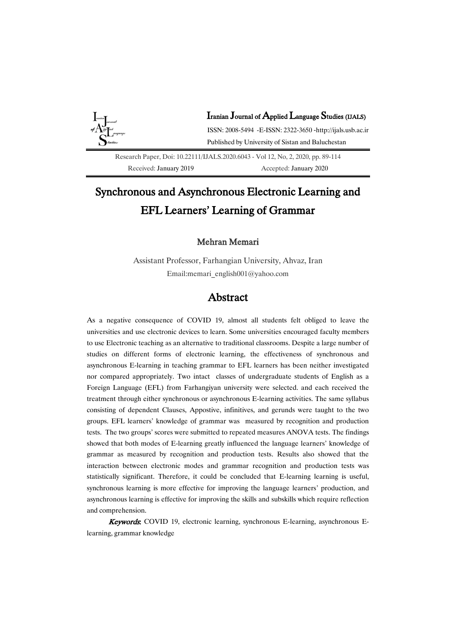

Research Paper, Doi[: 10.22111/IJALS.2020.604](https://dx.doi.org/10.22111/ijals.2020.6056)3 - Vol 12, No, 2, 2020, pp. 89-114 Received: January 2019 Accepted: January 2020

# Synchronous and Asynchronous Electronic Learning and EFL Learners' Learning of Grammar

## Mehran Memari

Assistant Professor, Farhangian University, Ahvaz, Iran Email:memari\_english001@yahoo.com

## Abstract

As a negative consequence of COVID 19, almost all students felt obliged to leave the universities and use electronic devices to learn. Some universities encouraged faculty members to use Electronic teaching as an alternative to traditional classrooms. Despite a large number of studies on different forms of electronic learning, the effectiveness of synchronous and asynchronous E-learning in teaching grammar to EFL learners has been neither investigated nor compared appropriately. Two intact classes of undergraduate students of English as a Foreign Language (EFL) from Farhangiyan university were selected. and each received the treatment through either synchronous or asynchronous E-learning activities. The same syllabus consisting of dependent Clauses, Appostive, infinitives, and gerunds were taught to the two groups. EFL learners' knowledge of grammar was measured by recognition and production tests. The two groups' scores were submitted to repeated measures ANOVA tests. The findings showed that both modes of E-learning greatly influenced the language learners' knowledge of grammar as measured by recognition and production tests. Results also showed that the interaction between electronic modes and grammar recognition and production tests was statistically significant. Therefore, it could be concluded that E-learning learning is useful, synchronous learning is more effective for improving the language learners' production, and asynchronous learning is effective for improving the skills and subskills which require reflection and comprehension.

Keywords: COVID 19, electronic learning, synchronous E-learning, asynchronous Elearning, grammar knowledge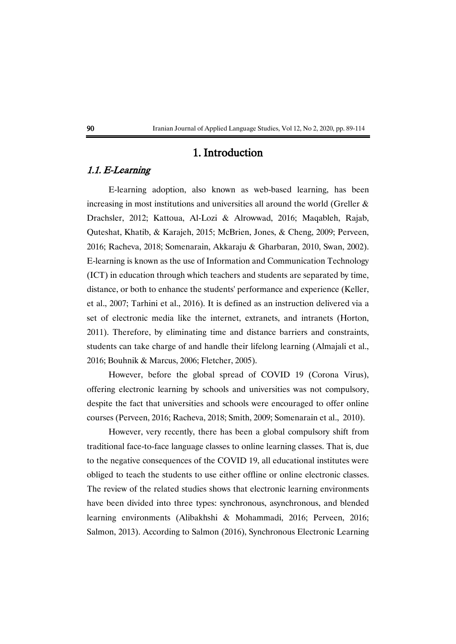## 1. Introduction

## 1.1. E-Learning

E-learning adoption, also known as web-based learning, has been increasing in most institutions and universities all around the world (Greller  $\&$ Drachsler, 2012; Kattoua, Al-Lozi & Alrowwad, 2016; Maqableh, Rajab, Quteshat, Khatib, & Karajeh, 2015; McBrien, Jones, & Cheng, 2009; Perveen, 2016; Racheva, 2018; Somenarain, Akkaraju & Gharbaran, 2010, Swan, 2002). E-learning is known as the use of Information and Communication Technology (ICT) in education through which teachers and students are separated by time, distance, or both to enhance the students' performance and experience (Keller, et al., 2007; Tarhini et al., 2016). It is defined as an instruction delivered via a set of electronic media like the internet, extranets, and intranets (Horton, 2011). Therefore, by eliminating time and distance barriers and constraints, students can take charge of and handle their lifelong learning (Almajali et al., 2016; Bouhnik & Marcus, 2006; Fletcher, 2005).

However, before the global spread of COVID 19 (Corona Virus), offering electronic learning by schools and universities was not compulsory, despite the fact that universities and schools were encouraged to offer online courses (Perveen, 2016; Racheva, 2018; Smith, 2009; Somenarain et al., 2010).

However, very recently, there has been a global compulsory shift from traditional face-to-face language classes to online learning classes. That is, due to the negative consequences of the COVID 19, all educational institutes were obliged to teach the students to use either offline or online electronic classes. The review of the related studies shows that electronic learning environments have been divided into three types: synchronous, asynchronous, and blended learning environments (Alibakhshi & Mohammadi, 2016; Perveen, 2016; Salmon, 2013). According to Salmon (2016), Synchronous Electronic Learning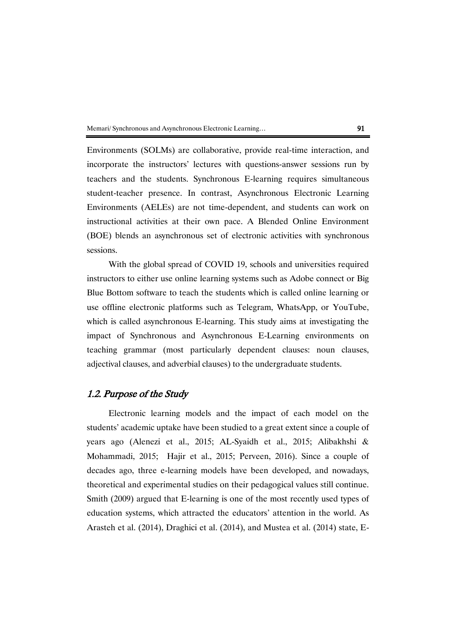Environments (SOLMs) are collaborative, provide real-time interaction, and incorporate the instructors' lectures with questions-answer sessions run by teachers and the students. Synchronous E-learning requires simultaneous student-teacher presence. In contrast, Asynchronous Electronic Learning Environments (AELEs) are not time-dependent, and students can work on instructional activities at their own pace. A Blended Online Environment (BOE) blends an asynchronous set of electronic activities with synchronous sessions.

With the global spread of COVID 19, schools and universities required instructors to either use online learning systems such as Adobe connect or Big Blue Bottom software to teach the students which is called online learning or use offline electronic platforms such as Telegram, WhatsApp, or YouTube, which is called asynchronous E-learning. This study aims at investigating the impact of Synchronous and Asynchronous E-Learning environments on teaching grammar (most particularly dependent clauses: noun clauses, adjectival clauses, and adverbial clauses) to the undergraduate students.

## 1.2. Purpose of the Study

Electronic learning models and the impact of each model on the students' academic uptake have been studied to a great extent since a couple of years ago (Alenezi et al., 2015; AL-Syaidh et al., 2015; Alibakhshi & Mohammadi, 2015; Hajir et al., 2015; Perveen, 2016). Since a couple of decades ago, three e-learning models have been developed, and nowadays, theoretical and experimental studies on their pedagogical values still continue. Smith (2009) argued that E-learning is one of the most recently used types of education systems, which attracted the educators' attention in the world. As Arasteh et al. (2014), Draghici et al. (2014), and Mustea et al. (2014) state, E-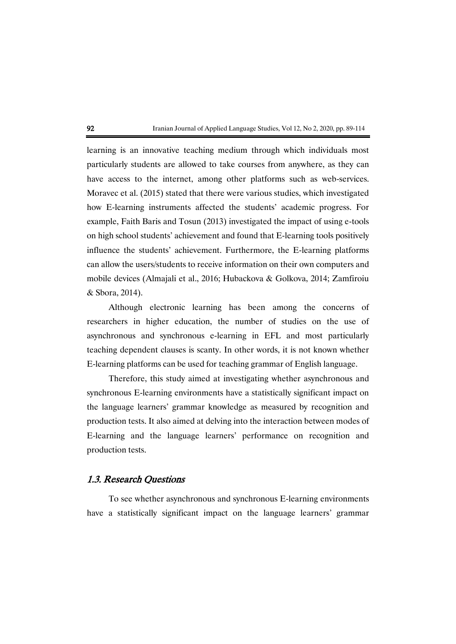learning is an innovative teaching medium through which individuals most particularly students are allowed to take courses from anywhere, as they can have access to the internet, among other platforms such as web-services. Moravec et al. (2015) stated that there were various studies, which investigated how E-learning instruments affected the students' academic progress. For example, Faith Baris and Tosun (2013) investigated the impact of using e-tools on high school students' achievement and found that E-learning tools positively influence the students' achievement. Furthermore, the E-learning platforms can allow the users/students to receive information on their own computers and mobile devices (Almajali et al., 2016; Hubackova & Golkova, 2014; Zamfiroiu & Sbora, 2014).

Although electronic learning has been among the concerns of researchers in higher education, the number of studies on the use of asynchronous and synchronous e-learning in EFL and most particularly teaching dependent clauses is scanty. In other words, it is not known whether E-learning platforms can be used for teaching grammar of English language.

Therefore, this study aimed at investigating whether asynchronous and synchronous E-learning environments have a statistically significant impact on the language learners' grammar knowledge as measured by recognition and production tests. It also aimed at delving into the interaction between modes of E-learning and the language learners' performance on recognition and production tests.

## 1.3. Research Questions

To see whether asynchronous and synchronous E-learning environments have a statistically significant impact on the language learners' grammar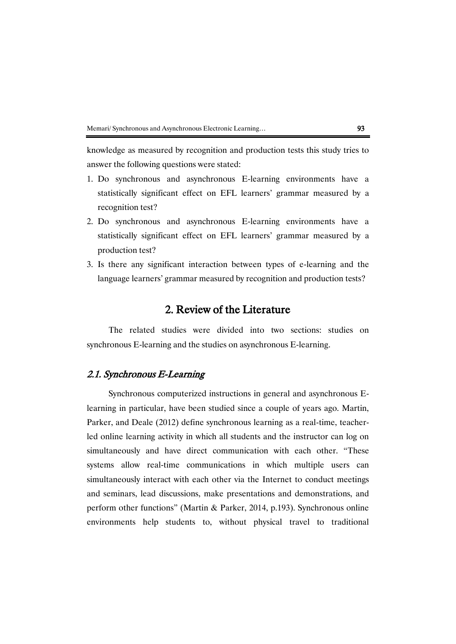knowledge as measured by recognition and production tests this study tries to answer the following questions were stated:

- 1. Do synchronous and asynchronous E-learning environments have a statistically significant effect on EFL learners' grammar measured by a recognition test?
- 2. Do synchronous and asynchronous E-learning environments have a statistically significant effect on EFL learners' grammar measured by a production test?
- 3. Is there any significant interaction between types of e-learning and the language learners' grammar measured by recognition and production tests?

## 2. Review of the Literature

The related studies were divided into two sections: studies on synchronous E-learning and the studies on asynchronous E-learning.

## 2.1. Synchronous E-Learning

Synchronous computerized instructions in general and asynchronous Elearning in particular, have been studied since a couple of years ago. Martin, Parker, and Deale (2012) define synchronous learning as a real-time, teacherled online learning activity in which all students and the instructor can log on simultaneously and have direct communication with each other. "These systems allow real-time communications in which multiple users can simultaneously interact with each other via the Internet to conduct meetings and seminars, lead discussions, make presentations and demonstrations, and perform other functions" (Martin & Parker, 2014, p.193). Synchronous online environments help students to, without physical travel to traditional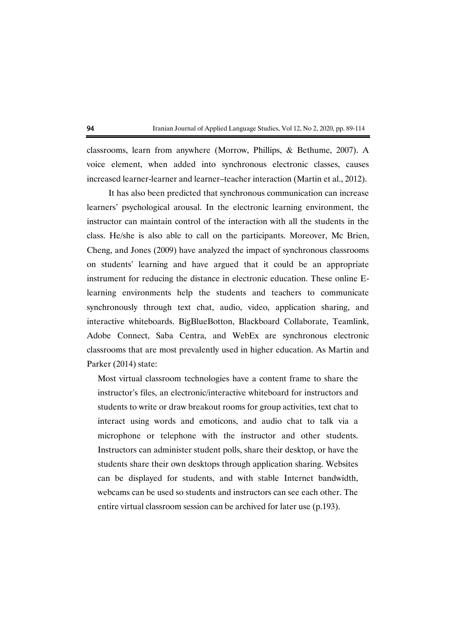classrooms, learn from anywhere (Morrow, Phillips, & Bethume, 2007). A voice element, when added into synchronous electronic classes, causes increased learner-learner and learner–teacher interaction (Martin et al., 2012).

It has also been predicted that synchronous communication can increase learners' psychological arousal. In the electronic learning environment, the instructor can maintain control of the interaction with all the students in the class. He/she is also able to call on the participants. Moreover, Mc Brien, Cheng, and Jones (2009) have analyzed the impact of synchronous classrooms on students' learning and have argued that it could be an appropriate instrument for reducing the distance in electronic education. These online Elearning environments help the students and teachers to communicate synchronously through text chat, audio, video, application sharing, and interactive whiteboards. BigBlueBotton, Blackboard Collaborate, Teamlink, Adobe Connect, Saba Centra, and WebEx are synchronous electronic classrooms that are most prevalently used in higher education. As Martin and Parker (2014) state:

Most virtual classroom technologies have a content frame to share the instructor's files, an electronic/interactive whiteboard for instructors and students to write or draw breakout rooms for group activities, text chat to interact using words and emoticons, and audio chat to talk via a microphone or telephone with the instructor and other students. Instructors can administer student polls, share their desktop, or have the students share their own desktops through application sharing. Websites can be displayed for students, and with stable Internet bandwidth, webcams can be used so students and instructors can see each other. The entire virtual classroom session can be archived for later use (p.193).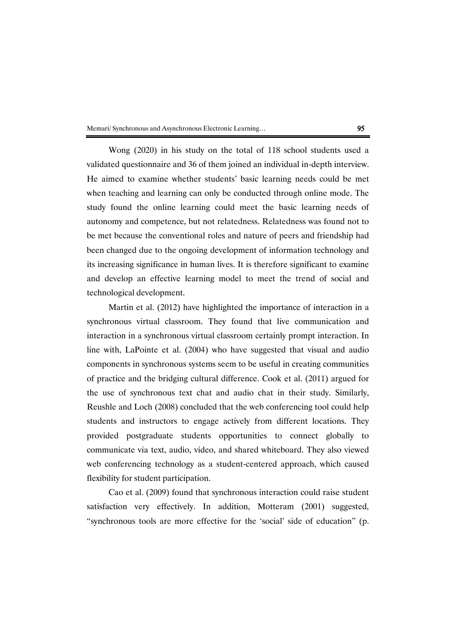Wong (2020) in his study on the total of 118 school students used a validated questionnaire and 36 of them joined an individual in-depth interview. He aimed to examine whether students' basic learning needs could be met when teaching and learning can only be conducted through online mode. The study found the online learning could meet the basic learning needs of autonomy and competence, but not relatedness. Relatedness was found not to be met because the conventional roles and nature of peers and friendship had been changed due to the ongoing development of information technology and its increasing significance in human lives. It is therefore significant to examine and develop an effective learning model to meet the trend of social and technological development.

Martin et al. (2012) have highlighted the importance of interaction in a synchronous virtual classroom. They found that live communication and interaction in a synchronous virtual classroom certainly prompt interaction. In line with, LaPointe et al. (2004) who have suggested that visual and audio components in synchronous systems seem to be useful in creating communities of practice and the bridging cultural difference. Cook et al. (2011) argued for the use of synchronous text chat and audio chat in their study. Similarly, Reushle and Loch (2008) concluded that the web conferencing tool could help students and instructors to engage actively from different locations. They provided postgraduate students opportunities to connect globally to communicate via text, audio, video, and shared whiteboard. They also viewed web conferencing technology as a student-centered approach, which caused flexibility for student participation.

Cao et al. (2009) found that synchronous interaction could raise student satisfaction very effectively. In addition, Motteram (2001) suggested, "synchronous tools are more effective for the 'social' side of education" (p.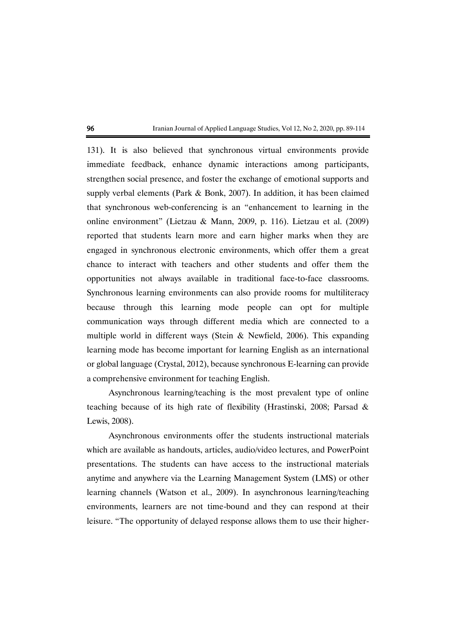131). It is also believed that synchronous virtual environments provide immediate feedback, enhance dynamic interactions among participants, strengthen social presence, and foster the exchange of emotional supports and supply verbal elements (Park & Bonk, 2007). In addition, it has been claimed that synchronous web-conferencing is an "enhancement to learning in the online environment" (Lietzau & Mann, 2009, p. 116). Lietzau et al. (2009) reported that students learn more and earn higher marks when they are engaged in synchronous electronic environments, which offer them a great chance to interact with teachers and other students and offer them the opportunities not always available in traditional face-to-face classrooms. Synchronous learning environments can also provide rooms for multiliteracy because through this learning mode people can opt for multiple communication ways through different media which are connected to a multiple world in different ways (Stein  $\&$  Newfield, 2006). This expanding learning mode has become important for learning English as an international or global language (Crystal, 2012), because synchronous E-learning can provide a comprehensive environment for teaching English.

Asynchronous learning/teaching is the most prevalent type of online teaching because of its high rate of flexibility (Hrastinski, 2008; Parsad & Lewis, 2008).

Asynchronous environments offer the students instructional materials which are available as handouts, articles, audio/video lectures, and PowerPoint presentations. The students can have access to the instructional materials anytime and anywhere via the Learning Management System (LMS) or other learning channels (Watson et al., 2009). In asynchronous learning/teaching environments, learners are not time-bound and they can respond at their leisure. "The opportunity of delayed response allows them to use their higher-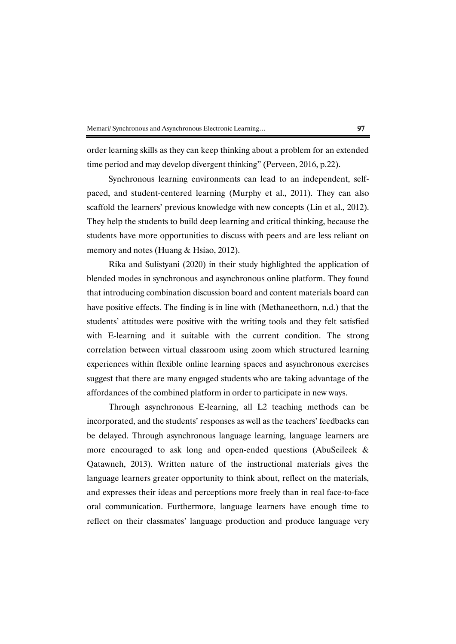order learning skills as they can keep thinking about a problem for an extended time period and may develop divergent thinking" (Perveen, 2016, p.22).

Synchronous learning environments can lead to an independent, selfpaced, and student-centered learning (Murphy et al., 2011). They can also scaffold the learners' previous knowledge with new concepts (Lin et al., 2012). They help the students to build deep learning and critical thinking, because the students have more opportunities to discuss with peers and are less reliant on memory and notes (Huang & Hsiao, 2012).

Rika and Sulistyani (2020) in their study highlighted the application of blended modes in synchronous and asynchronous online platform. They found that introducing combination discussion board and content materials board can have positive effects. The finding is in line with (Methaneethorn, n.d.) that the students' attitudes were positive with the writing tools and they felt satisfied with E-learning and it suitable with the current condition. The strong correlation between virtual classroom using zoom which structured learning experiences within flexible online learning spaces and asynchronous exercises suggest that there are many engaged students who are taking advantage of the affordances of the combined platform in order to participate in new ways.

Through asynchronous E-learning, all L2 teaching methods can be incorporated, and the students' responses as well as the teachers' feedbacks can be delayed. Through asynchronous language learning, language learners are more encouraged to ask long and open-ended questions (AbuSeileek & Qatawneh, 2013). Written nature of the instructional materials gives the language learners greater opportunity to think about, reflect on the materials, and expresses their ideas and perceptions more freely than in real face-to-face oral communication. Furthermore, language learners have enough time to reflect on their classmates' language production and produce language very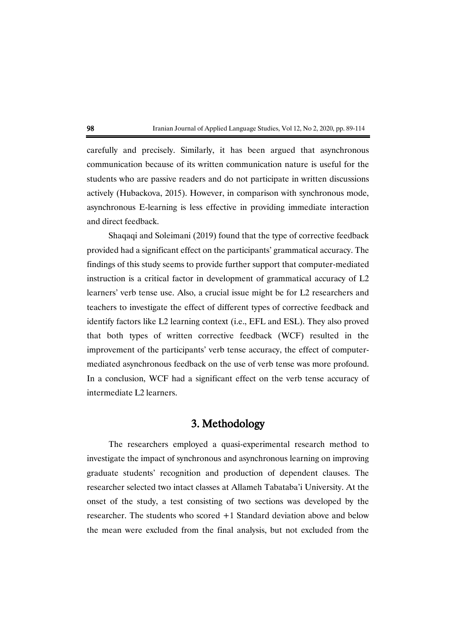

carefully and precisely. Similarly, it has been argued that asynchronous communication because of its written communication nature is useful for the students who are passive readers and do not participate in written discussions actively (Hubackova, 2015). However, in comparison with synchronous mode, asynchronous E-learning is less effective in providing immediate interaction and direct feedback.

Shaqaqi and Soleimani (2019) found that the type of corrective feedback provided had a significant effect on the participants' grammatical accuracy. The findings of this study seems to provide further support that computer-mediated instruction is a critical factor in development of grammatical accuracy of L2 learners' verb tense use. Also, a crucial issue might be for L2 researchers and teachers to investigate the effect of different types of corrective feedback and identify factors like L2 learning context (i.e., EFL and ESL). They also proved that both types of written corrective feedback (WCF) resulted in the improvement of the participants' verb tense accuracy, the effect of computermediated asynchronous feedback on the use of verb tense was more profound. In a conclusion, WCF had a significant effect on the verb tense accuracy of intermediate L2 learners.

## 3. Methodology

The researchers employed a quasi-experimental research method to investigate the impact of synchronous and asynchronous learning on improving graduate students' recognition and production of dependent clauses. The researcher selected two intact classes at Allameh Tabataba'i University. At the onset of the study, a test consisting of two sections was developed by the researcher. The students who scored +1 Standard deviation above and below the mean were excluded from the final analysis, but not excluded from the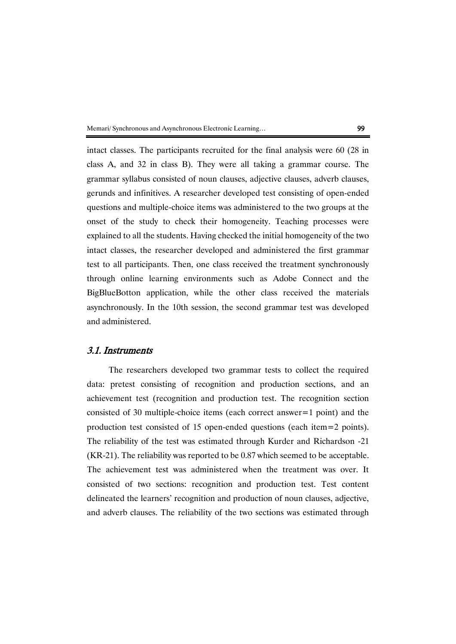intact classes. The participants recruited for the final analysis were 60 (28 in class A, and 32 in class B). They were all taking a grammar course. The grammar syllabus consisted of noun clauses, adjective clauses, adverb clauses, gerunds and infinitives. A researcher developed test consisting of open-ended questions and multiple-choice items was administered to the two groups at the onset of the study to check their homogeneity. Teaching processes were explained to all the students. Having checked the initial homogeneity of the two intact classes, the researcher developed and administered the first grammar test to all participants. Then, one class received the treatment synchronously through online learning environments such as Adobe Connect and the BigBlueBotton application, while the other class received the materials asynchronously. In the 10th session, the second grammar test was developed and administered.

## 3.1. Instruments

The researchers developed two grammar tests to collect the required data: pretest consisting of recognition and production sections, and an achievement test (recognition and production test. The recognition section consisted of 30 multiple-choice items (each correct answer=1 point) and the production test consisted of 15 open-ended questions (each item=2 points). The reliability of the test was estimated through Kurder and Richardson -21 (KR-21). The reliability was reported to be 0.87 which seemed to be acceptable. The achievement test was administered when the treatment was over. It consisted of two sections: recognition and production test. Test content delineated the learners' recognition and production of noun clauses, adjective, and adverb clauses. The reliability of the two sections was estimated through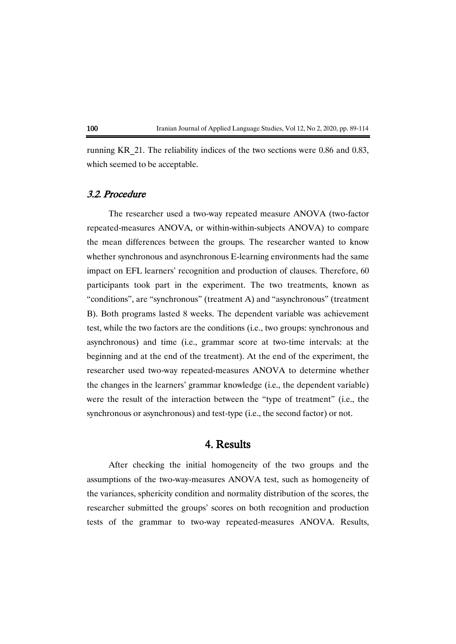running KR\_21. The reliability indices of the two sections were 0.86 and 0.83, which seemed to be acceptable.

## 3.2. Procedure

The researcher used a two-way repeated measure ANOVA (two-factor repeated-measures ANOVA, or within-within-subjects ANOVA) to compare the mean differences between the groups. The researcher wanted to know whether synchronous and asynchronous E-learning environments had the same impact on EFL learners' recognition and production of clauses. Therefore, 60 participants took part in the experiment. The two treatments, known as "conditions", are "synchronous" (treatment A) and "asynchronous" (treatment B). Both programs lasted 8 weeks. The dependent variable was achievement test, while the two factors are the conditions (i.e., two groups: synchronous and asynchronous) and time (i.e., grammar score at two-time intervals: at the beginning and at the end of the treatment). At the end of the experiment, the researcher used two-way repeated-measures ANOVA to determine whether the changes in the learners' grammar knowledge (i.e., the dependent variable) were the result of the interaction between the "type of treatment" (i.e., the synchronous or asynchronous) and test-type (i.e., the second factor) or not.

## 4. Results

After checking the initial homogeneity of the two groups and the assumptions of the two-way-measures ANOVA test, such as homogeneity of the variances, sphericity condition and normality distribution of the scores, the researcher submitted the groups' scores on both recognition and production tests of the grammar to two-way repeated-measures ANOVA. Results,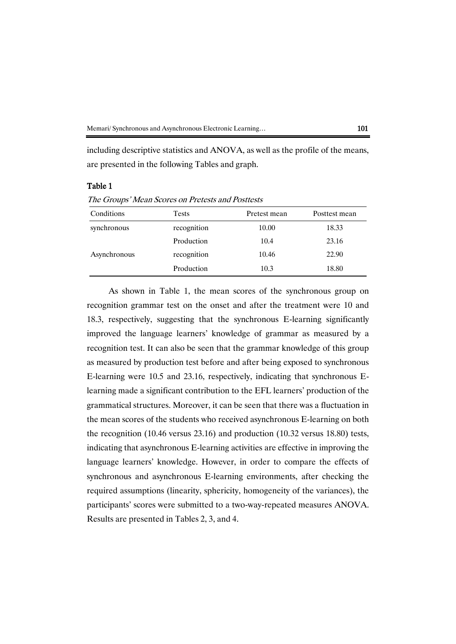including descriptive statistics and ANOVA, as well as the profile of the means, are presented in the following Tables and graph.

## Table 1

The Groups' Mean Scores on Pretests and Posttests

| Conditions   | <b>Tests</b> | Pretest mean | Posttest mean |
|--------------|--------------|--------------|---------------|
| synchronous  | recognition  | 10.00        | 18.33         |
|              | Production   | 10.4         | 23.16         |
| Asynchronous | recognition  | 10.46        | 22.90         |
|              | Production   | 10.3         | 18.80         |

As shown in Table 1, the mean scores of the synchronous group on recognition grammar test on the onset and after the treatment were 10 and 18.3, respectively, suggesting that the synchronous E-learning significantly improved the language learners' knowledge of grammar as measured by a recognition test. It can also be seen that the grammar knowledge of this group as measured by production test before and after being exposed to synchronous E-learning were 10.5 and 23.16, respectively, indicating that synchronous Elearning made a significant contribution to the EFL learners' production of the grammatical structures. Moreover, it can be seen that there was a fluctuation in the mean scores of the students who received asynchronous E-learning on both the recognition (10.46 versus 23.16) and production (10.32 versus 18.80) tests, indicating that asynchronous E-learning activities are effective in improving the language learners' knowledge. However, in order to compare the effects of synchronous and asynchronous E-learning environments, after checking the required assumptions (linearity, sphericity, homogeneity of the variances), the participants' scores were submitted to a two-way-repeated measures ANOVA. Results are presented in Tables 2, 3, and 4.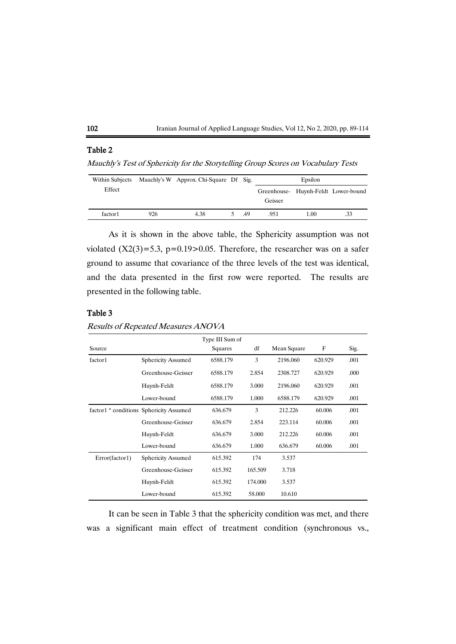

## Table 2

Mauchly's Test of Sphericity for the Storytelling Group Scores on Vocabulary Tests

| Within Subjects |     | Mauchly's W Approx. Chi-Square Df Sig. |     | Epsilon |      |                                     |
|-----------------|-----|----------------------------------------|-----|---------|------|-------------------------------------|
| Effect          |     |                                        |     |         |      | Greenhouse- Huynh-Feldt Lower-bound |
|                 |     |                                        |     | Geisser |      |                                     |
| factor1         | 926 | 4.38                                   | .49 | .951    | 1.00 | .33                                 |

As it is shown in the above table, the Sphericity assumption was not violated  $(X2(3)=5.3, p=0.19>0.05$ . Therefore, the researcher was on a safer ground to assume that covariance of the three levels of the test was identical, and the data presented in the first row were reported. The results are presented in the following table.

## Table 3

|                |                                         | Type III Sum of |         |             |         |      |
|----------------|-----------------------------------------|-----------------|---------|-------------|---------|------|
| Source         |                                         | Squares         | df      | Mean Square | F       | Sig. |
| factor1        | <b>Sphericity Assumed</b>               | 6588.179        | 3       | 2196.060    | 620.929 | .001 |
|                | Greenhouse-Geisser                      | 6588.179        | 2.854   | 2308.727    | 620.929 | .000 |
|                | Huynh-Feldt                             | 6588.179        | 3.000   | 2196.060    | 620.929 | .001 |
|                | Lower-bound                             | 6588.179        | 1.000   | 6588.179    | 620.929 | .001 |
|                | factor1 * conditions Sphericity Assumed | 636.679         | 3       | 212.226     | 60.006  | .001 |
|                | Greenhouse-Geisser                      | 636.679         | 2.854   | 223.114     | 60.006  | .001 |
|                | Huynh-Feldt                             | 636.679         | 3.000   | 212.226     | 60.006  | .001 |
|                | Lower-bound                             | 636.679         | 1.000   | 636.679     | 60.006  | .001 |
| Error(factor1) | <b>Sphericity Assumed</b>               | 615.392         | 174     | 3.537       |         |      |
|                | Greenhouse-Geisser                      | 615.392         | 165.509 | 3.718       |         |      |
|                | Huynh-Feldt                             | 615.392         | 174.000 | 3.537       |         |      |
|                | Lower-bound                             | 615.392         | 58.000  | 10.610      |         |      |

Results of Repeated Measures ANOVA

It can be seen in Table 3 that the sphericity condition was met, and there was a significant main effect of treatment condition (synchronous vs.,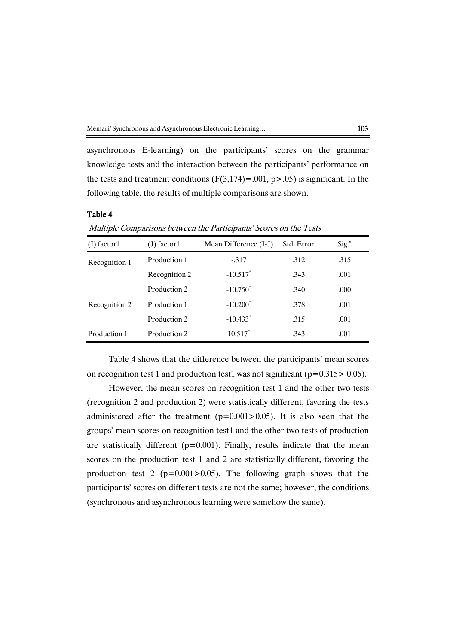asynchronous E-learning) on the participants' scores on the grammar knowledge tests and the interaction between the participants' performance on the tests and treatment conditions  $(F(3,174) = .001, p > .05)$  is significant. In the following table, the results of multiple comparisons are shown.

### Table 4

Multiple Comparisons between the Participants' Scores on the Tests

| $(I)$ factor 1 | $(J)$ factor1 | Mean Difference (I-J)  | Std. Error | Sig. <sup>a</sup> |
|----------------|---------------|------------------------|------------|-------------------|
| Recognition 1  | Production 1  | $-0.317$               | .312       | .315              |
|                | Recognition 2 | $-10.517$ <sup>*</sup> | .343       | .001              |
|                | Production 2  | $-10.750^*$            | .340       | .000              |
| Recognition 2  | Production 1  | $-10.200^*$            | .378       | .001              |
|                | Production 2  | $-10.433$ <sup>*</sup> | .315       | .001              |
| Production 1   | Production 2  | $10.517^*$             | .343       | .001              |

Table 4 shows that the difference between the participants' mean scores on recognition test 1 and production test1 was not significant ( $p=0.315>0.05$ ).

However, the mean scores on recognition test 1 and the other two tests (recognition 2 and production 2) were statistically different, favoring the tests administered after the treatment  $(p=0.001>0.05)$ . It is also seen that the groups' mean scores on recognition test1 and the other two tests of production are statistically different ( $p=0.001$ ). Finally, results indicate that the mean scores on the production test 1 and 2 are statistically different, favoring the production test 2 ( $p=0.001>0.05$ ). The following graph shows that the participants' scores on different tests are not the same; however, the conditions (synchronous and asynchronous learning were somehow the same).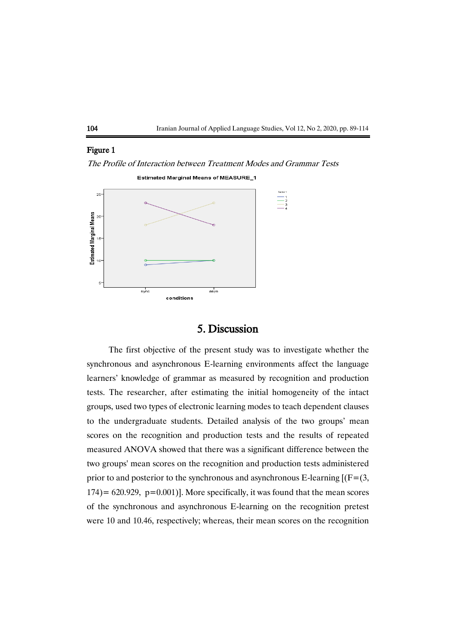

## Figure 1

The Profile of Interaction between Treatment Modes and Grammar Tests



## 5. Discussion

The first objective of the present study was to investigate whether the synchronous and asynchronous E-learning environments affect the language learners' knowledge of grammar as measured by recognition and production tests. The researcher, after estimating the initial homogeneity of the intact groups, used two types of electronic learning modes to teach dependent clauses to the undergraduate students. Detailed analysis of the two groups' mean scores on the recognition and production tests and the results of repeated measured ANOVA showed that there was a significant difference between the two groups' mean scores on the recognition and production tests administered prior to and posterior to the synchronous and asynchronous E-learning  $[(F=(3,$  $174$ ) = 620.929, p=0.001)]. More specifically, it was found that the mean scores of the synchronous and asynchronous E-learning on the recognition pretest were 10 and 10.46, respectively; whereas, their mean scores on the recognition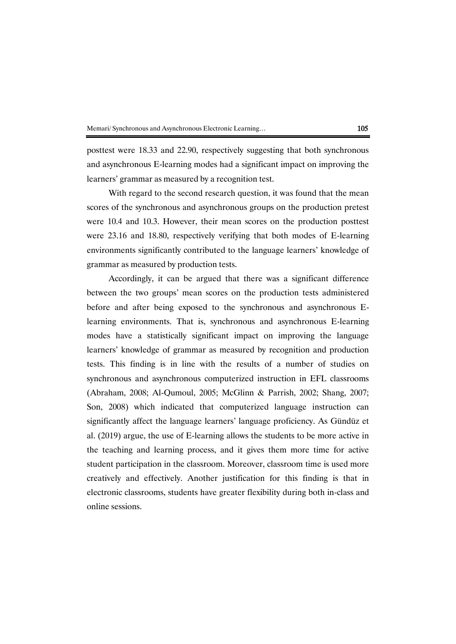posttest were 18.33 and 22.90, respectively suggesting that both synchronous and asynchronous E-learning modes had a significant impact on improving the learners' grammar as measured by a recognition test.

With regard to the second research question, it was found that the mean scores of the synchronous and asynchronous groups on the production pretest were 10.4 and 10.3. However, their mean scores on the production posttest were 23.16 and 18.80, respectively verifying that both modes of E-learning environments significantly contributed to the language learners' knowledge of grammar as measured by production tests.

Accordingly, it can be argued that there was a significant difference between the two groups' mean scores on the production tests administered before and after being exposed to the synchronous and asynchronous Elearning environments. That is, synchronous and asynchronous E-learning modes have a statistically significant impact on improving the language learners' knowledge of grammar as measured by recognition and production tests. This finding is in line with the results of a number of studies on synchronous and asynchronous computerized instruction in EFL classrooms (Abraham, 2008; Al-Qumoul, 2005; McGlinn & Parrish, 2002; Shang, 2007; Son, 2008) which indicated that computerized language instruction can significantly affect the language learners' language proficiency. As Gündüz et al. (2019) argue, the use of E-learning allows the students to be more active in the teaching and learning process, and it gives them more time for active student participation in the classroom. Moreover, classroom time is used more creatively and effectively. Another justification for this finding is that in electronic classrooms, students have greater flexibility during both in-class and online sessions.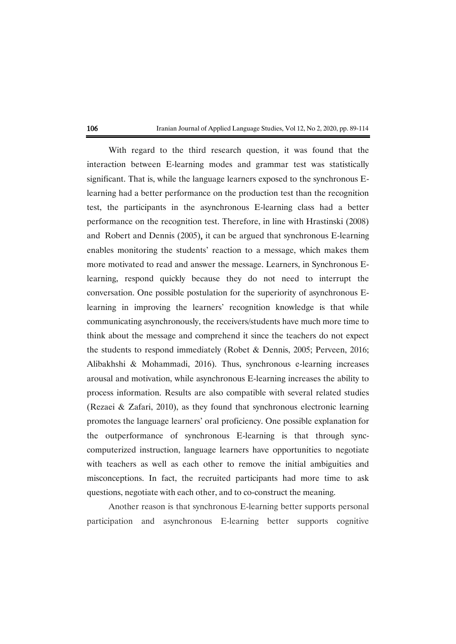With regard to the third research question, it was found that the interaction between E-learning modes and grammar test was statistically significant. That is, while the language learners exposed to the synchronous Elearning had a better performance on the production test than the recognition test, the participants in the asynchronous E-learning class had a better performance on the recognition test. Therefore, in line with Hrastinski (2008) and [Robert](https://www.researchgate.net/profile/Lionel_Robert?_sg%5B0%5D=znF7-7wo6cIHCexG3hfKcCRwwv1xwSpX1-6M2Ajb48jY_2lIgS41C413oP4FnCO79hAXFww.Y5U4Av0Lv7gEu-f63c0VhtuZt0KeYEh0NRZNwDFgq6Fb37IM2qhIGOqP42G0P5rdiVDoBC15lMX_rYCQwDQ5Og&_sg%5B1%5D=4x8tE2cQlgOvNU9gzbaGAeaIVFD3b3j50C93Z_QBhUfZbTSRYW5BgP_ZB2Ptk0JL5u1cAAM.C8nCZezBIMUu8JPq8Zqq3TDi8_GJx-UVSKiA6YpDOFXFSrf8qpStMEH906Q3lY_IFTj4JCnYniH8Sr-e82tXyg) and Dennis (2005), it can be argued that synchronous E-learning enables monitoring the students' reaction to a message, which makes them more motivated to read and answer the message. Learners, in Synchronous Elearning, respond quickly because they do not need to interrupt the conversation. One possible postulation for the superiority of asynchronous Elearning in improving the learners' recognition knowledge is that while communicating asynchronously, the receivers/students have much more time to think about the message and comprehend it since the teachers do not expect the students to respond immediately (Robet & Dennis, 2005; Perveen, 2016; Alibakhshi & Mohammadi, 2016). Thus, synchronous e-learning increases arousal and motivation, while asynchronous E-learning increases the ability to process information. Results are also compatible with several related studies (Rezaei & Zafari, 2010), as they found that synchronous electronic learning promotes the language learners' oral proficiency. One possible explanation for the outperformance of synchronous E-learning is that through synccomputerized instruction, language learners have opportunities to negotiate with teachers as well as each other to remove the initial ambiguities and misconceptions. In fact, the recruited participants had more time to ask questions, negotiate with each other, and to co-construct the meaning.

Another reason is that synchronous E-learning better supports personal participation and asynchronous E-learning better supports cognitive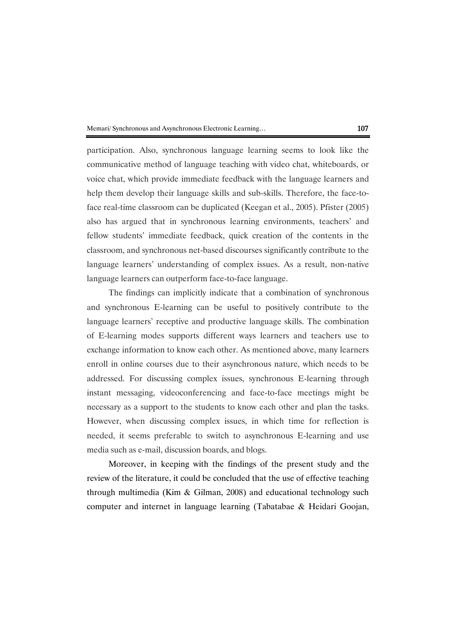participation. Also, synchronous language learning seems to look like the communicative method of language teaching with video chat, whiteboards, or voice chat, which provide immediate feedback with the language learners and help them develop their language skills and sub-skills. Therefore, the face-toface real-time classroom can be duplicated (Keegan et al., 2005). Pfister (2005) also has argued that in synchronous learning environments, teachers' and fellow students' immediate feedback, quick creation of the contents in the classroom, and synchronous net-based discourses significantly contribute to the language learners' understanding of complex issues. As a result, non-native language learners can outperform face-to-face language.

The findings can implicitly indicate that a combination of synchronous and synchronous E-learning can be useful to positively contribute to the language learners' receptive and productive language skills. The combination of E-learning modes supports different ways learners and teachers use to exchange information to know each other. As mentioned above, many learners enroll in online courses due to their asynchronous nature, which needs to be addressed. For discussing complex issues, synchronous E-learning through instant messaging, videoconferencing and face-to-face meetings might be necessary as a support to the students to know each other and plan the tasks. However, when discussing complex issues, in which time for reflection is needed, it seems preferable to switch to asynchronous E-learning and use media such as e-mail, discussion boards, and blogs.

Moreover, in keeping with the findings of the present study and the review of the literature, it could be concluded that the use of effective teaching through multimedia (Kim & Gilman, 2008) and educational technology such computer and internet in language learning (Tabatabae & Heidari Goojan,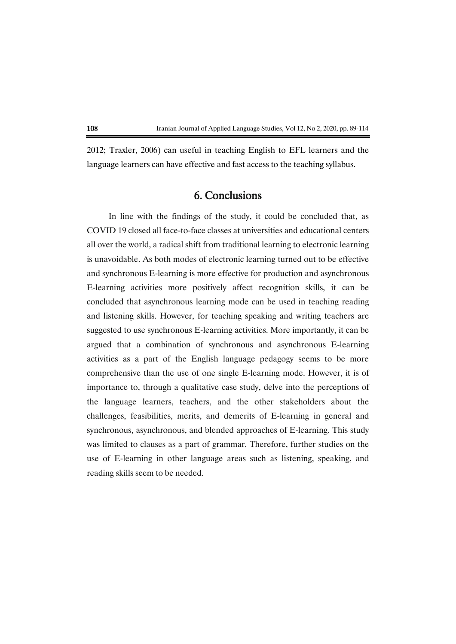2012; Traxler, 2006) can useful in teaching English to EFL learners and the language learners can have effective and fast access to the teaching syllabus.

## 6. Conclusions

In line with the findings of the study, it could be concluded that, as COVID 19 closed all face-to-face classes at universities and educational centers all over the world, a radical shift from traditional learning to electronic learning is unavoidable. As both modes of electronic learning turned out to be effective and synchronous E-learning is more effective for production and asynchronous E-learning activities more positively affect recognition skills, it can be concluded that asynchronous learning mode can be used in teaching reading and listening skills. However, for teaching speaking and writing teachers are suggested to use synchronous E-learning activities. More importantly, it can be argued that a combination of synchronous and asynchronous E-learning activities as a part of the English language pedagogy seems to be more comprehensive than the use of one single E-learning mode. However, it is of importance to, through a qualitative case study, delve into the perceptions of the language learners, teachers, and the other stakeholders about the challenges, feasibilities, merits, and demerits of E-learning in general and synchronous, asynchronous, and blended approaches of E-learning. This study was limited to clauses as a part of grammar. Therefore, further studies on the use of E-learning in other language areas such as listening, speaking, and reading skills seem to be needed.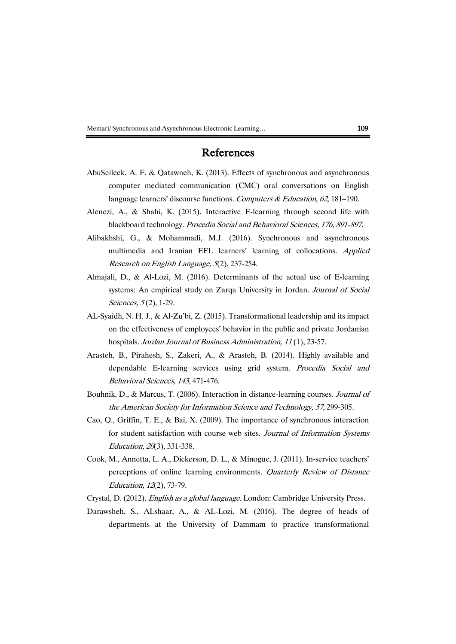## References

- AbuSeileek, A. F. & Qatawneh, K. (2013). Effects of synchronous and asynchronous computer mediated communication (CMC) oral conversations on English language learners' discourse functions. Computers & Education, 62, 181-190.
- Alenezi, A., & Shahi, K. (2015). Interactive E-learning through second life with blackboard technology. Procedia Social and Behavioral Sciences, 176, 891-897.
- Alibakhshi, G., & Mohammadi, M.J. (2016). Synchronous and asynchronous multimedia and Iranian EFL learners' learning of collocations. Applied Research on English Language, 5(2), 237-254.
- Almajali, D., & Al-Lozi, M. (2016). Determinants of the actual use of E-learning systems: An empirical study on Zarqa University in Jordan. Journal of Social Sciences, 5(2), 1-29.
- AL-Syaidh, N. H. J., & Al-Zu'bi, Z. (2015). Transformational leadership and its impact on the effectiveness of employees' behavior in the public and private Jordanian hospitals. Jordan Journal of Business Administration, 11 (1), 23-57.
- Arasteh, B., Pirahesh, S., Zakeri, A., & Arasteh, B. (2014). Highly available and dependable E-learning services using grid system. Procedia Social and Behavioral Sciences, 143, 471-476.
- Bouhnik, D., & Marcus, T. (2006). Interaction in distance-learning courses. Journal of the American Society for Information Science and Technology, 57, 299-305.
- Cao, Q., Griffin, T. E., & Bai, X. (2009). The importance of synchronous interaction for student satisfaction with course web sites. Journal of Information Systems Education, 20(3), 331-338.
- Cook, M., Annetta, L. A., Dickerson, D. L., & Minogue, J. (2011). In-service teachers' perceptions of online learning environments. Quarterly Review of Distance Education, 12(2), 73-79.
- Crystal, D. (2012). English as a global language. London: Cambridge University Press.
- Darawsheh, S., ALshaar, A., & AL-Lozi, M. (2016). The degree of heads of departments at the University of Dammam to practice transformational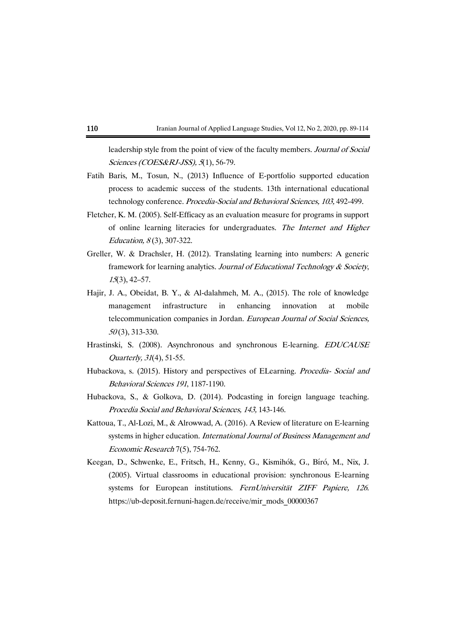leadership style from the point of view of the faculty members. Journal of Social Sciences (COES&RJ-JSS), 5(1), 56-79.

- Fatih Baris, M., Tosun, N., (2013) Influence of E-portfolio supported education process to academic success of the students. 13th international educational technology conference. Procedia-Social and Behavioral Sciences, 103, 492-499.
- Fletcher, K. M. (2005). Self-Efficacy as an evaluation measure for programs in support of online learning literacies for undergraduates. The Internet and Higher Education,  $8(3)$ , 307-322.
- Greller, W. & Drachsler, H. (2012). Translating learning into numbers: A generic framework for learning analytics. Journal of Educational Technology & Society, <sup>15</sup>(3), 42–57.
- Hajir, J. A., Obeidat, B. Y., & Al-dalahmeh, M. A., (2015). The role of knowledge management infrastructure in enhancing innovation at mobile telecommunication companies in Jordan. European Journal of Social Sciences, <sup>50</sup> (3), 313-330.
- Hrastinski, S. (2008). Asynchronous and synchronous E-learning. EDUCAUSE Quarterly, 31(4), 51-55.
- Hubackova, s. (2015). History and perspectives of ELearning. Procedia- Social and Behavioral Sciences 191, 1187-1190.
- Hubackova, S., & Golkova, D. (2014). Podcasting in foreign language teaching. Procedia Social and Behavioral Sciences, 143, 143-146.
- Kattoua, T., Al-Lozi, M., & Alrowwad, A. (2016). A Review of literature on E-learning systems in higher education. International Journal of Business Management and Economic Research 7(5), 754-762.
- Keegan, D., Schwenke, E., Fritsch, H., Kenny, G., Kismihók, G., Bíró, M., Nix, J. (2005). Virtual classrooms in educational provision: synchronous E-learning systems for European institutions. FernUniversität ZIFF Papiere, 126. [https://ub-deposit.fernuni-hagen.de/receive/mir\\_mods\\_00000367](https://ub-deposit.fernuni-hagen.de/receive/mir_mods_00000367)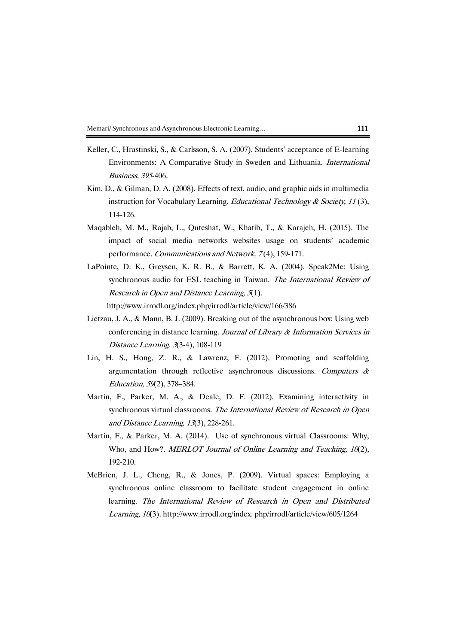- Keller, C., Hrastinski, S., & Carlsson, S. A. (2007). Students' acceptance of E-learning Environments: A Comparative Study in Sweden and Lithuania. International Business, 395-406.
- Kim, D., & Gilman, D. A. (2008). Effects of text, audio, and graphic aids in multimedia instruction for Vocabulary Learning. Educational Technology & Society, 11(3), 114-126.
- Maqableh, M. M., Rajab, L., Quteshat, W., Khatib, T., & Karajeh, H. (2015). The impact of social media networks websites usage on students' academic performance. Communications and Network, 7 (4), 159-171.
- LaPointe, D. K., Greysen, K. R. B., & Barrett, K. A. (2004). Speak2Me: Using synchronous audio for ESL teaching in Taiwan. The International Review of Research in Open and Distance Learning, 5(1).

<http://www.irrodl.org/index.php/irrodl/article/view/166/386>

- Lietzau, J. A., & Mann, B. J. (2009). Breaking out of the asynchronous box: Using web conferencing in distance learning. Journal of Library & Information Services in Distance Learning, 3(3-4), 108-119
- Lin, H. S., Hong, Z. R., & Lawrenz, F. (2012). Promoting and scaffolding argumentation through reflective asynchronous discussions. Computers  $\&$ Education, 59(2), 378–384.
- Martin, F., Parker, M. A., & Deale, D. F. (2012). Examining interactivity in synchronous virtual classrooms. The International Review of Research in Open and Distance Learning, 13(3), 228-261.
- Martin, F., & Parker, M. A. (2014). Use of synchronous virtual Classrooms: Why, Who, and How?. *MERLOT Journal of Online Learning and Teaching, 10*(2), 192-210.
- McBrien, J. L., Cheng, R., & Jones, P. (2009). Virtual spaces: Employing a synchronous online classroom to facilitate student engagement in online learning. The International Review of Research in Open and Distributed Learning, 10(3). [http://www.irrodl.org/index. php/irrodl/article/view/605/1264](http://www.irrodl.org/index.%20php/irrodl/article/view/605/1264)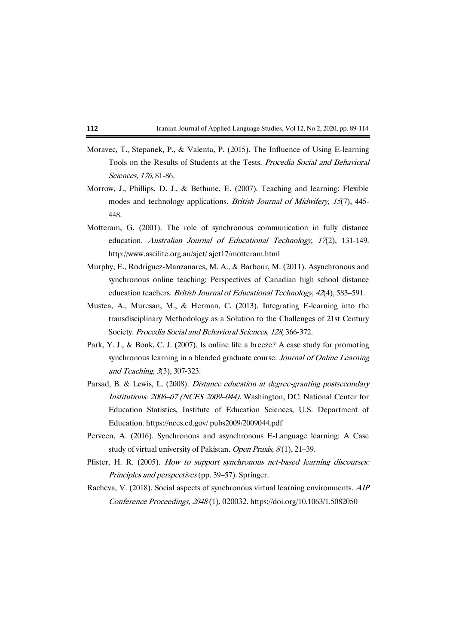- Moravec, T., Stepanek, P., & Valenta, P. (2015). The Influence of Using E-learning Tools on the Results of Students at the Tests. Procedia Social and Behavioral Sciences, 176, 81-86.
- Morrow, J., Phillips, D. J., & Bethune, E. (2007). Teaching and learning: Flexible modes and technology applications. British Journal of Midwifery, 15(7), 445- 448.
- Motteram, G. (2001). The role of synchronous communication in fully distance education. Australian Journal of Educational Technology, 17(2), 131-149. http://www.ascilite.org.au/ajet/ ajet17/motteram.html
- Murphy, E., Rodríguez-Manzanares, M. A., & Barbour, M. (2011). Asynchronous and synchronous online teaching: Perspectives of Canadian high school distance education teachers. British Journal of Educational Technology, 42(4), 583–591.
- Mustea, A., Muresan, M., & Herman, C. (2013). Integrating E-learning into the transdisciplinary Methodology as a Solution to the Challenges of 21st Century Society. Procedia Social and Behavioral Sciences, 128, 366-372.
- Park, Y. J., & Bonk, C. J. (2007). Is online life a breeze? A case study for promoting synchronous learning in a blended graduate course. Journal of Online Learning and Teaching, 3(3), 307-323.
- Parsad, B. & Lewis, L. (2008). Distance education at degree-granting postsecondary Institutions: <sup>2006</sup>–07 (NCES 2009–044). Washington, DC: National Center for Education Statistics, Institute of Education Sciences, U.S. Department of Education[. https://nces.ed.gov/](https://nces.ed.gov/) pubs2009/2009044.pdf
- Perveen, A. (2016). Synchronous and asynchronous E-Language learning: A Case study of virtual university of Pakistan. Open Praxis,  $8(1)$ , 21–39.
- Pfister, H. R. (2005). How to support synchronous net-based learning discourses: Principles and perspectives (pp. 39–57). Springer.
- Racheva, V. (2018). Social aspects of synchronous virtual learning environments. AIP Conference Proceedings, <sup>2048</sup> (1), 020032. <https://doi.org/10.1063/1.5082050>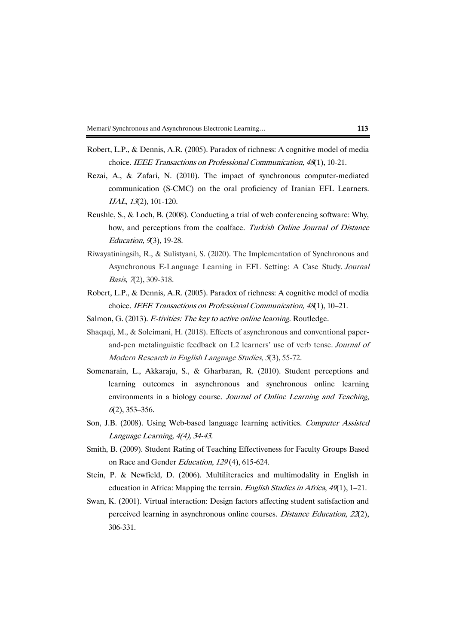- Robert, L.P., & Dennis, A.R. (2005). Paradox of richness: A cognitive model of media choice. IEEE Transactions on Professional Communication, <sup>48</sup>(1), 10-21.
- Rezai, A., & Zafari, N. (2010). The impact of synchronous computer-mediated communication (S-CMC) on the oral proficiency of Iranian EFL Learners. IJAL, 13(2), 101-120.
- Reushle, S., & Loch, B. (2008). Conducting a trial of web conferencing software: Why, how, and perceptions from the coalface. Turkish Online Journal of Distance Education, 9(3), 19-28.
- Riwayatiningsih, R., & Sulistyani, S. (2020). The Implementation of Synchronous and Asynchronous E-Language Learning in EFL Setting: A Case Study. Journal Basis, 7(2), 309-318.
- Robert, L.P., & Dennis, A.R. (2005). Paradox of richness: A cognitive model of media choice. IEEE Transactions on Professional Communication, <sup>48</sup>(1), 10–21.
- Salmon, G. (2013). E-tivities: The key to active online learning. Routledge.
- Shaqaqi, M., & Soleimani, H. (2018). Effects of asynchronous and conventional paperand-pen metalinguistic feedback on L2 learners' use of verb tense. Journal of Modern Research in English Language Studies, <sup>5</sup>(3), 55-72.
- Somenarain, L., Akkaraju, S., & Gharbaran, R. (2010). Student perceptions and learning outcomes in asynchronous and synchronous online learning environments in a biology course. Journal of Online Learning and Teaching, <sup>6</sup>(2), 353–356.
- Son, J.B. (2008). Using Web-based language learning activities. Computer Assisted Language Learning, 4(4), 34-43.
- Smith, B. (2009). Student Rating of Teaching Effectiveness for Faculty Groups Based on Race and Gender Education, 129 (4), 615-624.
- Stein, P. & Newfield, D. (2006). Multiliteracies and multimodality in English in education in Africa: Mapping the terrain. English Studies in Africa, 49(1), 1–21.
- Swan, K. (2001). Virtual interaction: Design factors affecting student satisfaction and perceived learning in asynchronous online courses. Distance Education, 22(2), 306-331.